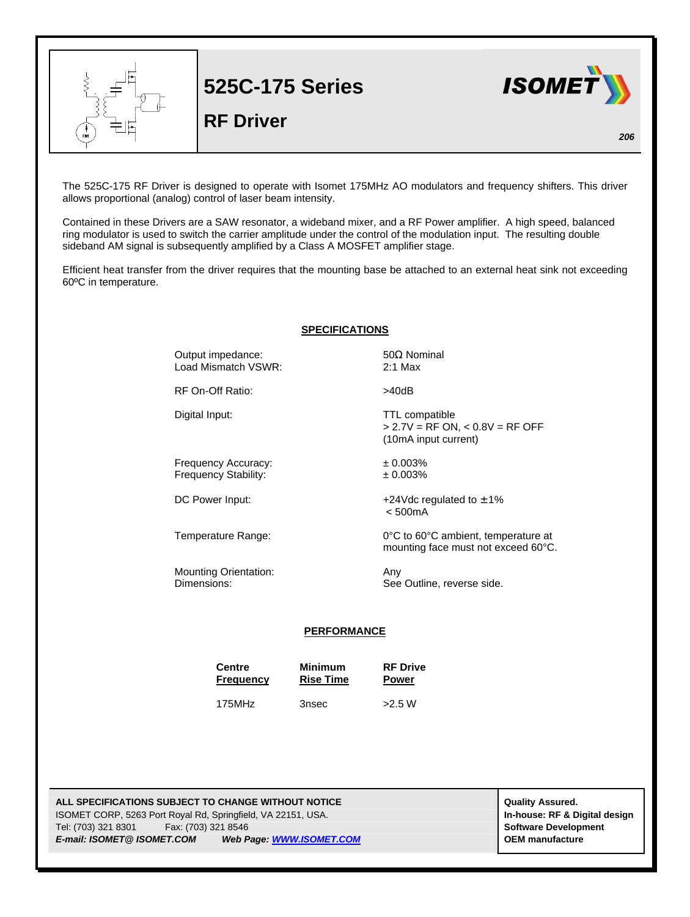

**525C-175 Series**

**RF Driver** 



*206*

The 525C-175 RF Driver is designed to operate with Isomet 175MHz AO modulators and frequency shifters. This driver allows proportional (analog) control of laser beam intensity.

Contained in these Drivers are a SAW resonator, a wideband mixer, and a RF Power amplifier. A high speed, balanced ring modulator is used to switch the carrier amplitude under the control of the modulation input. The resulting double sideband AM signal is subsequently amplified by a Class A MOSFET amplifier stage.

Efficient heat transfer from the driver requires that the mounting base be attached to an external heat sink not exceeding 60ºC in temperature.

|  |  | <b>SPECIFICATIONS</b> |  |
|--|--|-----------------------|--|
|  |  |                       |  |

Output impedance:  $50Ω$  Nominal Load Mismatch VSWR: 2:1 Max

RF On-Off Ratio:  $>40dB$ 

Digital Input: TTL compatible

Frequency Accuracy:  $\pm 0.003\%$ <br>Frequency Stability:  $\pm 0.003\%$ Frequency Stability:

Mounting Orientation: Any

(10mA input current)

DC Power Input:  $+24 \text{Vdc}$  regulated to  $\pm 1\%$ < 500mA

Temperature Range: 0°C to 60°C ambient, temperature at mounting face must not exceed 60°C.

> 2.7V = RF ON, < 0.8V = RF OFF

Dimensions: See Outline, reverse side.

## **PERFORMANCE**

**Centre** Minimum RF Drive<br> **Frequency** Rise Time Power **Frequency Rise Time**  $175$ MHz  $3nsec$   $>2.5$  W

**ALL SPECIFICATIONS SUBJECT TO CHANGE WITHOUT NOTICE And CONTACT ASSURANT CONTRACT ASSURED.** ISOMET CORP, 5263 Port Royal Rd, Springfield, VA 22151, USA. **In-house: RF & Digital design** Tel: (703) 321 8301 Fax: (703) 321 8546 **Software Development** *E-mail: ISOMET@ ISOMET.COM Web Page: WWW.ISOMET.COM* **OEM manufacture**